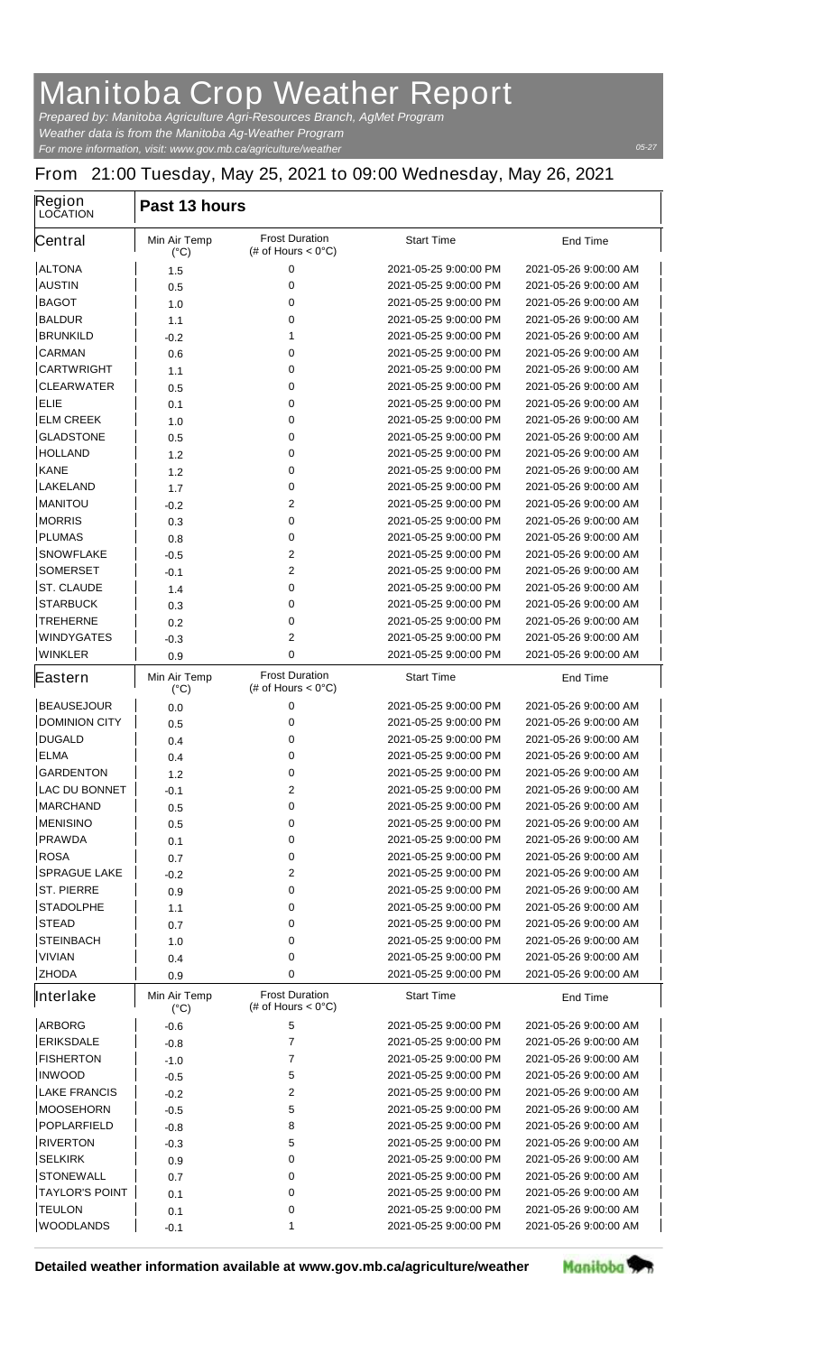## **Manitoba Crop Weather Report**

*For more information, visit: www.gov.mb.ca/agriculture/weather Prepared by: Manitoba Agriculture Agri-Resources Branch, AgMet Program Weather data is from the Manitoba Ag-Weather Program*

## **From 21:00 Tuesday, May 25, 2021 to 09:00 Wednesday, May 26, 2021**

| Region<br><b>LOCATION</b> | Past 13 hours                        |                                                       |                                                |                                                |  |  |
|---------------------------|--------------------------------------|-------------------------------------------------------|------------------------------------------------|------------------------------------------------|--|--|
| Central                   | <b>Min Air Temp</b><br>$(^{\circ}C)$ | <b>Frost Duration</b><br>(# of Hours $< 0^{\circ}$ C) | <b>Start Time</b>                              | <b>End Time</b>                                |  |  |
| <b>ALTONA</b>             | 1.5                                  | 0                                                     | 2021-05-25 9:00:00 PM                          | 2021-05-26 9:00:00 AM                          |  |  |
| <b>AUSTIN</b>             | 0.5                                  | 0                                                     | 2021-05-25 9:00:00 PM                          | 2021-05-26 9:00:00 AM                          |  |  |
| <b>BAGOT</b>              | 1.0                                  | 0                                                     | 2021-05-25 9:00:00 PM                          | 2021-05-26 9:00:00 AM                          |  |  |
| <b>BALDUR</b>             | 1.1                                  | 0                                                     | 2021-05-25 9:00:00 PM                          | 2021-05-26 9:00:00 AM                          |  |  |
| <b>BRUNKILD</b>           | -0.2                                 | 1                                                     | 2021-05-25 9:00:00 PM                          | 2021-05-26 9:00:00 AM                          |  |  |
| <b>CARMAN</b>             | 0.6                                  | 0                                                     | 2021-05-25 9:00:00 PM                          | 2021-05-26 9:00:00 AM                          |  |  |
| <b>CARTWRIGHT</b>         | 1.1                                  | 0                                                     | 2021-05-25 9:00:00 PM                          | 2021-05-26 9:00:00 AM                          |  |  |
| <b>CLEARWATER</b>         | 0.5                                  | 0                                                     | 2021-05-25 9:00:00 PM                          | 2021-05-26 9:00:00 AM                          |  |  |
| <b>ELIE</b>               | 0.1                                  | 0                                                     | 2021-05-25 9:00:00 PM                          | 2021-05-26 9:00:00 AM                          |  |  |
| <b>ELM CREEK</b>          | 1.0                                  | 0                                                     | 2021-05-25 9:00:00 PM                          | 2021-05-26 9:00:00 AM                          |  |  |
| <b>GLADSTONE</b>          | 0.5                                  | 0                                                     | 2021-05-25 9:00:00 PM                          | 2021-05-26 9:00:00 AM                          |  |  |
| <b>HOLLAND</b>            | 1.2                                  | 0                                                     | 2021-05-25 9:00:00 PM                          | 2021-05-26 9:00:00 AM                          |  |  |
| <b>KANE</b>               | 1.2                                  | 0                                                     | 2021-05-25 9:00:00 PM                          | 2021-05-26 9:00:00 AM                          |  |  |
| <b>LAKELAND</b>           | 1.7                                  | 0                                                     | 2021-05-25 9:00:00 PM                          | 2021-05-26 9:00:00 AM                          |  |  |
| <b>MANITOU</b>            | $-0.2$                               | $\mathbf{2}$                                          | 2021-05-25 9:00:00 PM                          | 2021-05-26 9:00:00 AM                          |  |  |
| <b>MORRIS</b>             | 0.3                                  | 0                                                     | 2021-05-25 9:00:00 PM                          | 2021-05-26 9:00:00 AM                          |  |  |
| <b>PLUMAS</b>             | 0.8                                  | 0                                                     | 2021-05-25 9:00:00 PM                          | 2021-05-26 9:00:00 AM                          |  |  |
| <b>SNOWFLAKE</b>          | $-0.5$                               | $\mathbf{2}$                                          | 2021-05-25 9:00:00 PM                          | 2021-05-26 9:00:00 AM                          |  |  |
| <b>SOMERSET</b>           | -0.1                                 | $\mathbf{2}$                                          | 2021-05-25 9:00:00 PM                          | 2021-05-26 9:00:00 AM                          |  |  |
| <b>ST. CLAUDE</b>         | 1.4                                  | 0                                                     | 2021-05-25 9:00:00 PM                          | 2021-05-26 9:00:00 AM                          |  |  |
| <b>STARBUCK</b>           | 0.3                                  | 0                                                     | 2021-05-25 9:00:00 PM                          | 2021-05-26 9:00:00 AM                          |  |  |
| <b>TREHERNE</b>           | 0.2                                  | 0                                                     | 2021-05-25 9:00:00 PM                          | 2021-05-26 9:00:00 AM                          |  |  |
| <b>WINDYGATES</b>         | -0.3                                 | 2                                                     | 2021-05-25 9:00:00 PM                          | 2021-05-26 9:00:00 AM                          |  |  |
| <b>WINKLER</b>            | 0.9                                  | 0                                                     | 2021-05-25 9:00:00 PM                          | 2021-05-26 9:00:00 AM                          |  |  |
| Eastern                   | <b>Min Air Temp</b><br>$(^{\circ}C)$ | <b>Frost Duration</b><br>(# of Hours < $0^{\circ}$ C) | <b>Start Time</b>                              | <b>End Time</b>                                |  |  |
| <b>BEAUSEJOUR</b>         |                                      | 0                                                     | 2021-05-25 9:00:00 PM                          | 2021-05-26 9:00:00 AM                          |  |  |
| <b>DOMINION CITY</b>      | 0.0                                  | 0                                                     | 2021-05-25 9:00:00 PM                          | 2021-05-26 9:00:00 AM                          |  |  |
| <b>DUGALD</b>             | 0.5                                  | 0                                                     | 2021-05-25 9:00:00 PM                          | 2021-05-26 9:00:00 AM                          |  |  |
| <b>ELMA</b>               | 0.4                                  | 0                                                     | 2021-05-25 9:00:00 PM                          | 2021-05-26 9:00:00 AM                          |  |  |
| <b>GARDENTON</b>          | 0.4                                  | 0                                                     | 2021-05-25 9:00:00 PM                          | 2021-05-26 9:00:00 AM                          |  |  |
| <b>LAC DU BONNET</b>      | 1.2                                  | $\mathbf{2}$                                          | 2021-05-25 9:00:00 PM                          | 2021-05-26 9:00:00 AM                          |  |  |
| <b>MARCHAND</b>           | -0.1                                 |                                                       |                                                |                                                |  |  |
| <b>MENISINO</b>           | 0.5                                  | 0<br>0                                                | 2021-05-25 9:00:00 PM<br>2021-05-25 9:00:00 PM | 2021-05-26 9:00:00 AM<br>2021-05-26 9:00:00 AM |  |  |
| <b>PRAWDA</b>             | 0.5                                  |                                                       | 2021-05-25 9:00:00 PM                          |                                                |  |  |
|                           | 0.1                                  | 0                                                     |                                                | 2021-05-26 9:00:00 AM                          |  |  |
| <b>ROSA</b>               | 0.7                                  | 0                                                     | 2021-05-25 9:00:00 PM                          | 2021-05-26 9:00:00 AM                          |  |  |
| <b>SPRAGUE LAKE</b>       | -0.2                                 | $\mathbf{2}$                                          | 2021-05-25 9:00:00 PM                          | 2021-05-26 9:00:00 AM                          |  |  |
| <b>ST. PIERRE</b>         | 0.9                                  | 0                                                     | 2021-05-25 9:00:00 PM                          | 2021-05-26 9:00:00 AM                          |  |  |
| <b>STADOLPHE</b>          | 1.1                                  | 0                                                     | 2021-05-25 9:00:00 PM                          | 2021-05-26 9:00:00 AM                          |  |  |
| <b>STEAD</b>              | 0.7                                  | 0                                                     | 2021-05-25 9:00:00 PM                          | 2021-05-26 9:00:00 AM                          |  |  |
| <b>STEINBACH</b>          | 1.0                                  | 0                                                     | 2021-05-25 9:00:00 PM                          | 2021-05-26 9:00:00 AM                          |  |  |
| <b>VIVIAN</b>             | 0.4                                  | 0                                                     | 2021-05-25 9:00:00 PM                          | 2021-05-26 9:00:00 AM                          |  |  |
| <b>ZHODA</b>              | 0.9                                  | 0                                                     | 2021-05-25 9:00:00 PM                          | 2021-05-26 9:00:00 AM                          |  |  |
| <b>Interlake</b>          | <b>Min Air Temp</b><br>$(^{\circ}C)$ | <b>Frost Duration</b><br>(# of Hours $< 0^{\circ}$ C) | <b>Start Time</b>                              | <b>End Time</b>                                |  |  |
| <b>ARBORG</b>             | -0.6                                 | 5                                                     | 2021-05-25 9:00:00 PM                          | 2021-05-26 9:00:00 AM                          |  |  |
| <b>ERIKSDALE</b>          | -0.8                                 | $\overline{7}$                                        | 2021-05-25 9:00:00 PM                          | 2021-05-26 9:00:00 AM                          |  |  |
| <b>FISHERTON</b>          | $-1.0$                               | 7                                                     | 2021-05-25 9:00:00 PM                          | 2021-05-26 9:00:00 AM                          |  |  |
| <b>INWOOD</b>             | $-0.5$                               | 5                                                     | 2021-05-25 9:00:00 PM                          | 2021-05-26 9:00:00 AM                          |  |  |
| <b>LAKE FRANCIS</b>       | $-0.2$                               | $\mathbf{2}$                                          | 2021-05-25 9:00:00 PM                          | 2021-05-26 9:00:00 AM                          |  |  |
| <b>MOOSEHORN</b>          | -0.5                                 | 5                                                     | 2021-05-25 9:00:00 PM                          | 2021-05-26 9:00:00 AM                          |  |  |
| <b>POPLARFIELD</b>        | -0.8                                 | 8                                                     | 2021-05-25 9:00:00 PM                          | 2021-05-26 9:00:00 AM                          |  |  |
| <b>RIVERTON</b>           | $-0.3$                               | 5                                                     | 2021-05-25 9:00:00 PM                          | 2021-05-26 9:00:00 AM                          |  |  |
| <b>SELKIRK</b>            | 0.9                                  | 0                                                     | 2021-05-25 9:00:00 PM                          | 2021-05-26 9:00:00 AM                          |  |  |
| <b>STONEWALL</b>          | 0.7                                  | 0                                                     | 2021-05-25 9:00:00 PM                          | 2021-05-26 9:00:00 AM                          |  |  |
| <b>TAYLOR'S POINT</b>     | 0.1                                  | 0                                                     | 2021-05-25 9:00:00 PM                          | 2021-05-26 9:00:00 AM                          |  |  |
| <b>TEULON</b>             | 0.1                                  | 0                                                     | 2021-05-25 9:00:00 PM                          | 2021-05-26 9:00:00 AM                          |  |  |
| <b>WOODLANDS</b>          | -0.1                                 | 1                                                     | 2021-05-25 9:00:00 PM                          | 2021-05-26 9:00:00 AM                          |  |  |
|                           |                                      |                                                       |                                                |                                                |  |  |

**Detailed weather information available at www.gov.mb.ca/agriculture/weather**